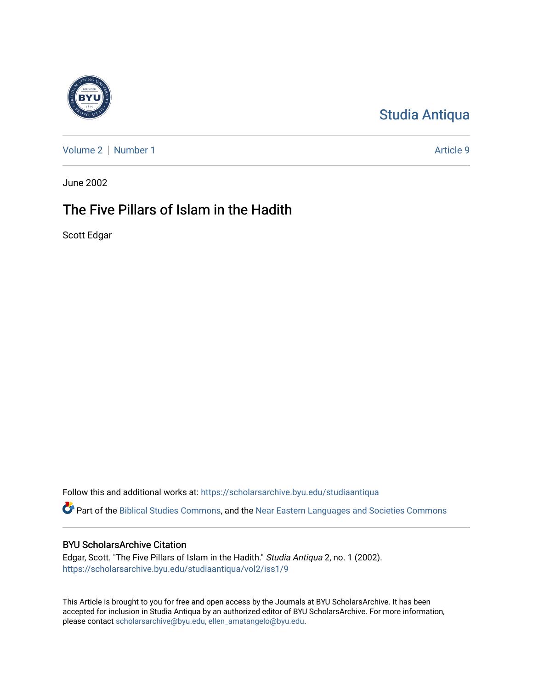

## [Studia Antiqua](https://scholarsarchive.byu.edu/studiaantiqua)

[Volume 2](https://scholarsarchive.byu.edu/studiaantiqua/vol2) | [Number 1](https://scholarsarchive.byu.edu/studiaantiqua/vol2/iss1) Article 9

June 2002

## The Five Pillars of Islam in the Hadith

Scott Edgar

Follow this and additional works at: [https://scholarsarchive.byu.edu/studiaantiqua](https://scholarsarchive.byu.edu/studiaantiqua?utm_source=scholarsarchive.byu.edu%2Fstudiaantiqua%2Fvol2%2Fiss1%2F9&utm_medium=PDF&utm_campaign=PDFCoverPages) 

Part of the [Biblical Studies Commons,](http://network.bepress.com/hgg/discipline/539?utm_source=scholarsarchive.byu.edu%2Fstudiaantiqua%2Fvol2%2Fiss1%2F9&utm_medium=PDF&utm_campaign=PDFCoverPages) and the Near Eastern Languages and Societies Commons

### BYU ScholarsArchive Citation

Edgar, Scott. "The Five Pillars of Islam in the Hadith." Studia Antiqua 2, no. 1 (2002). [https://scholarsarchive.byu.edu/studiaantiqua/vol2/iss1/9](https://scholarsarchive.byu.edu/studiaantiqua/vol2/iss1/9?utm_source=scholarsarchive.byu.edu%2Fstudiaantiqua%2Fvol2%2Fiss1%2F9&utm_medium=PDF&utm_campaign=PDFCoverPages) 

This Article is brought to you for free and open access by the Journals at BYU ScholarsArchive. It has been accepted for inclusion in Studia Antiqua by an authorized editor of BYU ScholarsArchive. For more information, please contact [scholarsarchive@byu.edu, ellen\\_amatangelo@byu.edu.](mailto:scholarsarchive@byu.edu,%20ellen_amatangelo@byu.edu)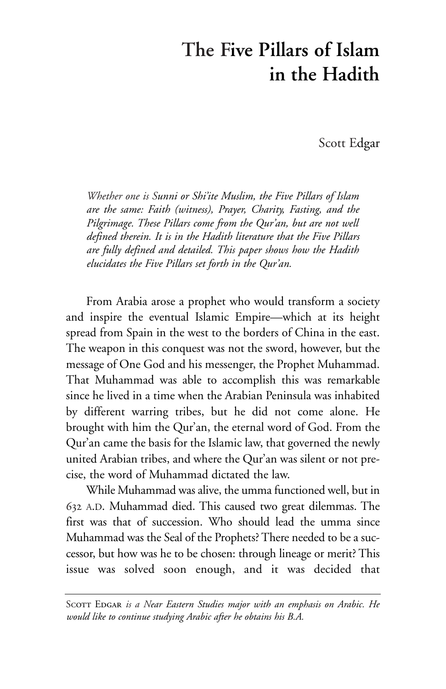# **The Five Pillars of Islam in the Hadith**

Scott Edgar

*Whether one is Sunni or Shi'ite Muslim, the Five Pillars of Islam are the same: Faith (witness), Prayer, Charity, Fasting, and the Pilgrimage. These Pillars come from the Qur'an, but are not well defined therein. It is in the Hadith literature that the Five Pillars are fully defined and detailed. This paper shows how the Hadith elucidates the Five Pillars set forth in the Qur'an.*

From Arabia arose a prophet who would transform a society and inspire the eventual Islamic Empire—which at its height spread from Spain in the west to the borders of China in the east. The weapon in this conquest was not the sword, however, but the message of One God and his messenger, the Prophet Muhammad. That Muhammad was able to accomplish this was remarkable since he lived in a time when the Arabian Peninsula was inhabited by different warring tribes, but he did not come alone. He brought with him the Qur'an, the eternal word of God. From the Qur'an came the basis for the Islamic law, that governed the newly united Arabian tribes, and where the Qur'an was silent or not precise, the word of Muhammad dictated the law.

While Muhammad was alive, the umma functioned well, but in 632 A.D. Muhammad died. This caused two great dilemmas. The first was that of succession. Who should lead the umma since Muhammad was the Seal of the Prophets? There needed to be a successor, but how was he to be chosen: through lineage or merit? This issue was solved soon enough, and it was decided that

SCOTT EDGAR *is a Near Eastern Studies major with an emphasis on Arabic. He would like to continue studying Arabic after he obtains his B.A.*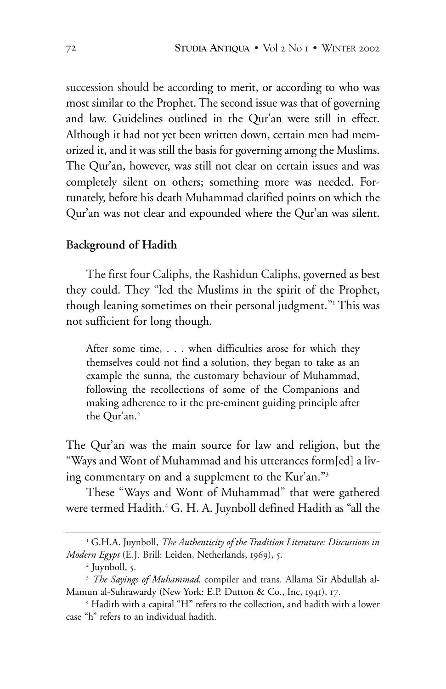succession should be according to merit, or according to who was most similar to the Prophet. The second issue was that of governing and law. Guidelines outlined in the Qur'an were still in effect. Although it had not yet been written down, certain men had memorized it, and it was still the basis for governing among the Muslims. The Qur'an, however, was still not clear on certain issues and was completely silent on others; something more was needed. Fortunately, before his death Muhammad clarified points on which the Qur'an was not clear and expounded where the Qur'an was silent.

#### **Background of Hadith**

The first four Caliphs, the Rashidun Caliphs, governed as best they could. They "led the Muslims in the spirit of the Prophet, though leaning sometimes on their personal judgment."<sup>1</sup> This was not sufficient for long though.

After some time, . . . when difficulties arose for which they themselves could not find a solution, they began to take as an example the sunna, the customary behaviour of Muhammad, following the recollections of some of the Companions and making adherence to it the pre-eminent guiding principle after the Qur'an.<sup>2</sup>

The Qur'an was the main source for law and religion, but the "Ways and Wont of Muhammad and his utterances form[ed] a living commentary on and a supplement to the Kur'an."3

These "Ways and Wont of Muhammad" that were gathered were termed Hadith.<sup>4</sup> G. H. A. Juynboll defined Hadith as "all the

<sup>1</sup> G.H.A. Juynboll, *The Authenticity of the Tradition Literature: Discussions in Modern Egypt* (E.J. Brill: Leiden, Netherlands, 1969), 5.

 $<sup>2</sup>$  Juynboll, 5.</sup>

<sup>&</sup>lt;sup>3</sup> *The Sayings of Muhammad*, compiler and trans. Allama Sir Abdullah al-Mamun al-Suhrawardy (New York: E.P. Dutton & Co., Inc, 1941), 17.

<sup>4</sup> Hadith with a capital "H" refers to the collection, and hadith with a lower case "h" refers to an individual hadith.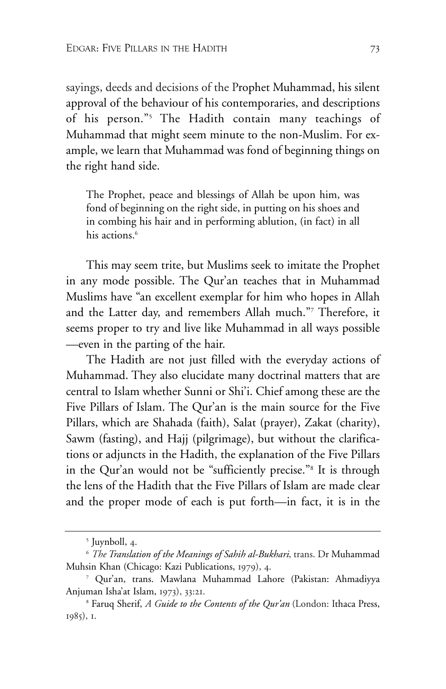sayings, deeds and decisions of the Prophet Muhammad, his silent approval of the behaviour of his contemporaries, and descriptions of his person."5 The Hadith contain many teachings of Muhammad that might seem minute to the non-Muslim. For example, we learn that Muhammad was fond of beginning things on the right hand side.

The Prophet, peace and blessings of Allah be upon him, was fond of beginning on the right side, in putting on his shoes and in combing his hair and in performing ablution, (in fact) in all his actions.<sup>6</sup>

This may seem trite, but Muslims seek to imitate the Prophet in any mode possible. The Qur'an teaches that in Muhammad Muslims have "an excellent exemplar for him who hopes in Allah and the Latter day, and remembers Allah much."7 Therefore, it seems proper to try and live like Muhammad in all ways possible —even in the parting of the hair.

The Hadith are not just filled with the everyday actions of Muhammad. They also elucidate many doctrinal matters that are central to Islam whether Sunni or Shi'i. Chief among these are the Five Pillars of Islam. The Qur'an is the main source for the Five Pillars, which are Shahada (faith), Salat (prayer), Zakat (charity), Sawm (fasting), and Hajj (pilgrimage), but without the clarifications or adjuncts in the Hadith, the explanation of the Five Pillars in the Qur'an would not be "sufficiently precise."8 It is through the lens of the Hadith that the Five Pillars of Islam are made clear and the proper mode of each is put forth—in fact, it is in the

<sup>5</sup> Juynboll, 4.

<sup>6</sup> *The Translation of the Meanings of Sahih al-Bukhari*, trans. Dr Muhammad Muhsin Khan (Chicago: Kazi Publications, 1979), 4.

<sup>7</sup> Qur'an, trans. Mawlana Muhammad Lahore (Pakistan: Ahmadiyya Anjuman Isha'at Islam, 1973), 33:21.

<sup>8</sup> Faruq Sherif, *A Guide to the Contents of the Qur'an* (London: Ithaca Press, 1985), 1.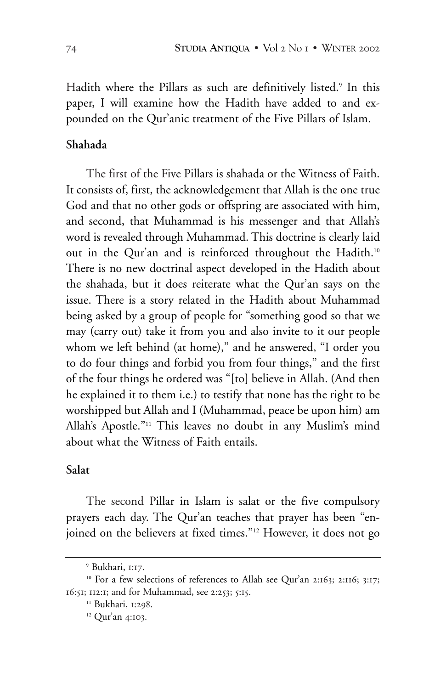Hadith where the Pillars as such are definitively listed.<sup>9</sup> In this paper, I will examine how the Hadith have added to and expounded on the Qur'anic treatment of the Five Pillars of Islam.

#### **Shahada**

The first of the Five Pillars is shahada or the Witness of Faith. It consists of, first, the acknowledgement that Allah is the one true God and that no other gods or offspring are associated with him, and second, that Muhammad is his messenger and that Allah's word is revealed through Muhammad. This doctrine is clearly laid out in the Qur'an and is reinforced throughout the Hadith.<sup>10</sup> There is no new doctrinal aspect developed in the Hadith about the shahada, but it does reiterate what the Qur'an says on the issue. There is a story related in the Hadith about Muhammad being asked by a group of people for "something good so that we may (carry out) take it from you and also invite to it our people whom we left behind (at home)," and he answered, "I order you to do four things and forbid you from four things," and the first of the four things he ordered was "[to] believe in Allah. (And then he explained it to them i.e.) to testify that none has the right to be worshipped but Allah and I (Muhammad, peace be upon him) am Allah's Apostle."11 This leaves no doubt in any Muslim's mind about what the Witness of Faith entails.

### **Salat**

The second Pillar in Islam is salat or the five compulsory prayers each day. The Qur'an teaches that prayer has been "enjoined on the believers at fixed times."<sup>12</sup> However, it does not go

<sup>9</sup> Bukhari, 1:17.

<sup>&</sup>lt;sup>10</sup> For a few selections of references to Allah see Qur'an 2:163; 2:116; 3:17; 16:51; 112:1; and for Muhammad, see 2:253; 5:15.

<sup>&</sup>lt;sup>11</sup> Bukhari, 1:298.

<sup>12</sup> Qur'an 4:103.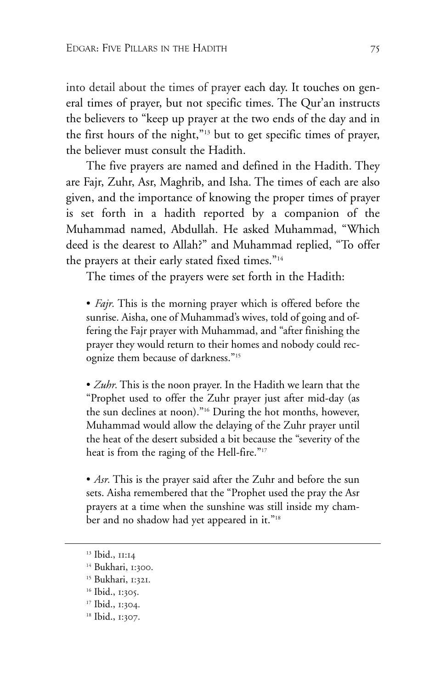into detail about the times of prayer each day. It touches on general times of prayer, but not specific times. The Qur'an instructs the believers to "keep up prayer at the two ends of the day and in the first hours of the night,"13 but to get specific times of prayer, the believer must consult the Hadith.

The five prayers are named and defined in the Hadith. They are Fajr, Zuhr, Asr, Maghrib, and Isha. The times of each are also given, and the importance of knowing the proper times of prayer is set forth in a hadith reported by a companion of the Muhammad named, Abdullah. He asked Muhammad, "Which deed is the dearest to Allah?" and Muhammad replied, "To offer the prayers at their early stated fixed times."14

The times of the prayers were set forth in the Hadith:

• *Fajr*. This is the morning prayer which is offered before the sunrise. Aisha, one of Muhammad's wives, told of going and offering the Fajr prayer with Muhammad, and "after finishing the prayer they would return to their homes and nobody could recognize them because of darkness."15

• *Zuhr*. This is the noon prayer. In the Hadith we learn that the "Prophet used to offer the Zuhr prayer just after mid-day (as the sun declines at noon)."16 During the hot months, however, Muhammad would allow the delaying of the Zuhr prayer until the heat of the desert subsided a bit because the "severity of the heat is from the raging of the Hell-fire."<sup>17</sup>

• *Asr*. This is the prayer said after the Zuhr and before the sun sets. Aisha remembered that the "Prophet used the pray the Asr prayers at a time when the sunshine was still inside my chamber and no shadow had yet appeared in it."18

<sup>13</sup> Ibid., 11:14

<sup>&</sup>lt;sup>14</sup> Bukhari, 1:300.

<sup>15</sup> Bukhari, 1:321.

<sup>16</sup> Ibid., 1:305.

<sup>17</sup> Ibid., 1:304.

<sup>18</sup> Ibid., 1:307.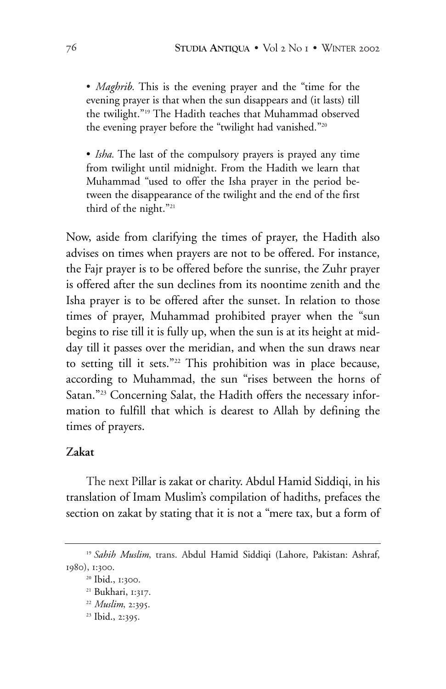• *Maghrib*. This is the evening prayer and the "time for the evening prayer is that when the sun disappears and (it lasts) till the twilight."19 The Hadith teaches that Muhammad observed the evening prayer before the "twilight had vanished."<sup>20</sup>

• *Isha*. The last of the compulsory prayers is prayed any time from twilight until midnight. From the Hadith we learn that Muhammad "used to offer the Isha prayer in the period between the disappearance of the twilight and the end of the first third of the night."21

Now, aside from clarifying the times of prayer, the Hadith also advises on times when prayers are not to be offered. For instance, the Fajr prayer is to be offered before the sunrise, the Zuhr prayer is offered after the sun declines from its noontime zenith and the Isha prayer is to be offered after the sunset. In relation to those times of prayer, Muhammad prohibited prayer when the "sun begins to rise till it is fully up, when the sun is at its height at midday till it passes over the meridian, and when the sun draws near to setting till it sets."22 This prohibition was in place because, according to Muhammad, the sun "rises between the horns of Satan."23 Concerning Salat, the Hadith offers the necessary information to fulfill that which is dearest to Allah by defining the times of prayers.

### **Zakat**

The next Pillar is zakat or charity. Abdul Hamid Siddiqi, in his translation of Imam Muslim's compilation of hadiths, prefaces the section on zakat by stating that it is not a "mere tax, but a form of

- <sup>22</sup> *Muslim*, 2:395.
- <sup>23</sup> Ibid., 2:395.

<sup>19</sup>*Sahih Muslim*, trans. Abdul Hamid Siddiqi (Lahore, Pakistan: Ashraf, 1980), 1:300.

<sup>20</sup> Ibid., 1:300.

<sup>21</sup> Bukhari, 1:317.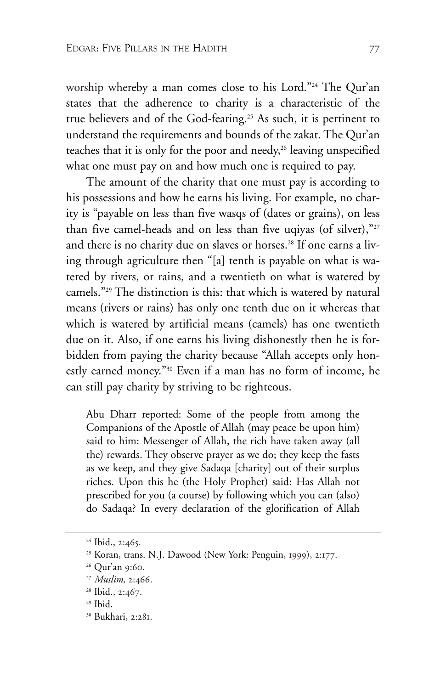worship whereby a man comes close to his Lord."24 The Qur'an states that the adherence to charity is a characteristic of the true believers and of the God-fearing.<sup>25</sup> As such, it is pertinent to understand the requirements and bounds of the zakat. The Qur'an teaches that it is only for the poor and needy,<sup>26</sup> leaving unspecified what one must pay on and how much one is required to pay.

The amount of the charity that one must pay is according to his possessions and how he earns his living. For example, no charity is "payable on less than five wasqs of (dates or grains), on less than five camel-heads and on less than five uqiyas (of silver),"27 and there is no charity due on slaves or horses.<sup>28</sup> If one earns a living through agriculture then "[a] tenth is payable on what is watered by rivers, or rains, and a twentieth on what is watered by camels."29 The distinction is this: that which is watered by natural means (rivers or rains) has only one tenth due on it whereas that which is watered by artificial means (camels) has one twentieth due on it. Also, if one earns his living dishonestly then he is forbidden from paying the charity because "Allah accepts only honestly earned money."30 Even if a man has no form of income, he can still pay charity by striving to be righteous.

Abu Dharr reported: Some of the people from among the Companions of the Apostle of Allah (may peace be upon him) said to him: Messenger of Allah, the rich have taken away (all the) rewards. They observe prayer as we do; they keep the fasts as we keep, and they give Sadaqa [charity] out of their surplus riches. Upon this he (the Holy Prophet) said: Has Allah not prescribed for you (a course) by following which you can (also) do Sadaqa? In every declaration of the glorification of Allah

<sup>&</sup>lt;sup>24</sup> Ibid., 2:465.

<sup>25</sup> Koran, trans. N.J. Dawood (New York: Penguin, 1999), 2:177.

<sup>26</sup> Qur'an 9:60.

<sup>27</sup> *Muslim*, 2:466.

<sup>28</sup> Ibid., 2:467.

<sup>29</sup> Ibid.

<sup>30</sup> Bukhari, 2:281.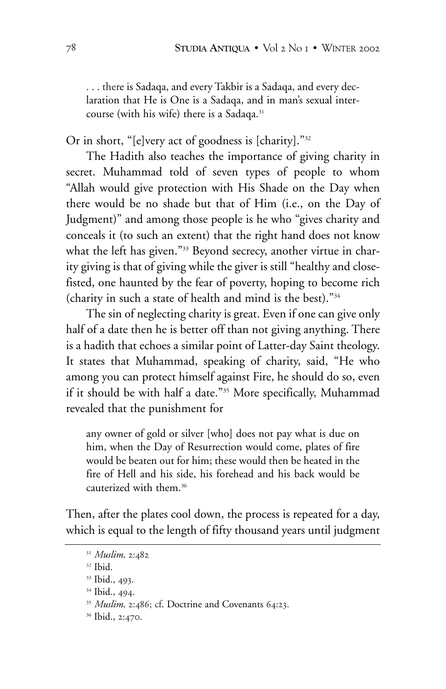. . . there is Sadaqa, and every Takbir is a Sadaqa, and every declaration that He is One is a Sadaqa, and in man's sexual intercourse (with his wife) there is a Sadaqa.<sup>31</sup>

Or in short, "[e]very act of goodness is [charity]."32

The Hadith also teaches the importance of giving charity in secret. Muhammad told of seven types of people to whom "Allah would give protection with His Shade on the Day when there would be no shade but that of Him (i.e., on the Day of Judgment)" and among those people is he who "gives charity and conceals it (to such an extent) that the right hand does not know what the left has given."<sup>33</sup> Beyond secrecy, another virtue in charity giving is that of giving while the giver is still "healthy and closefisted, one haunted by the fear of poverty, hoping to become rich (charity in such a state of health and mind is the best)."34

The sin of neglecting charity is great. Even if one can give only half of a date then he is better off than not giving anything. There is a hadith that echoes a similar point of Latter-day Saint theology. It states that Muhammad, speaking of charity, said, "He who among you can protect himself against Fire, he should do so, even if it should be with half a date."35 More specifically, Muhammad revealed that the punishment for

any owner of gold or silver [who] does not pay what is due on him, when the Day of Resurrection would come, plates of fire would be beaten out for him; these would then be heated in the fire of Hell and his side, his forehead and his back would be cauterized with them.<sup>36</sup>

Then, after the plates cool down, the process is repeated for a day, which is equal to the length of fifty thousand years until judgment

<sup>31</sup> *Muslim*, 2:482

<sup>32</sup> Ibid.

<sup>33</sup> Ibid., 493.

<sup>34</sup> Ibid., 494.

<sup>35</sup> *Muslim*, 2:486; cf. Doctrine and Covenants 64:23.

<sup>36</sup> Ibid., 2:470.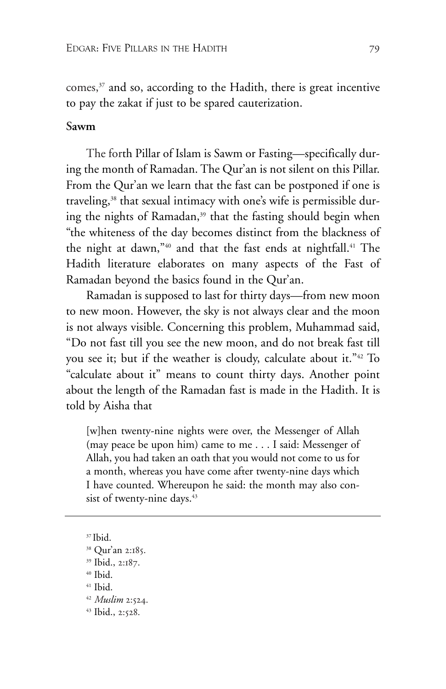comes, $37$  and so, according to the Hadith, there is great incentive to pay the zakat if just to be spared cauterization.

#### **Sawm**

The forth Pillar of Islam is Sawm or Fasting—specifically during the month of Ramadan. The Qur'an is not silent on this Pillar. From the Qur'an we learn that the fast can be postponed if one is traveling,<sup>38</sup> that sexual intimacy with one's wife is permissible during the nights of Ramadan,<sup>39</sup> that the fasting should begin when "the whiteness of the day becomes distinct from the blackness of the night at dawn,"<sup>40</sup> and that the fast ends at nightfall.<sup>41</sup> The Hadith literature elaborates on many aspects of the Fast of Ramadan beyond the basics found in the Qur'an.

Ramadan is supposed to last for thirty days—from new moon to new moon. However, the sky is not always clear and the moon is not always visible. Concerning this problem, Muhammad said, "Do not fast till you see the new moon, and do not break fast till you see it; but if the weather is cloudy, calculate about it."42 To "calculate about it" means to count thirty days. Another point about the length of the Ramadan fast is made in the Hadith. It is told by Aisha that

[w]hen twenty-nine nights were over, the Messenger of Allah (may peace be upon him) came to me . . . I said: Messenger of Allah, you had taken an oath that you would not come to us for a month, whereas you have come after twenty-nine days which I have counted. Whereupon he said: the month may also consist of twenty-nine days.<sup>43</sup>

37 Ibid.

- <sup>39</sup> Ibid., 2:187.
- <sup>40</sup> Ibid.
- <sup>41</sup> Ibid.
- <sup>42</sup> *Muslim* 2:524.
- <sup>43</sup> Ibid., 2:528.

<sup>38</sup> Qur'an 2:185.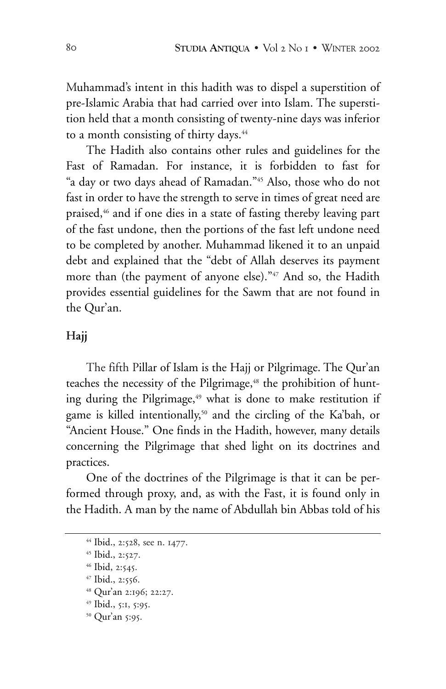Muhammad's intent in this hadith was to dispel a superstition of pre-Islamic Arabia that had carried over into Islam. The superstition held that a month consisting of twenty-nine days was inferior to a month consisting of thirty days.<sup>44</sup>

The Hadith also contains other rules and guidelines for the Fast of Ramadan. For instance, it is forbidden to fast for "a day or two days ahead of Ramadan."45 Also, those who do not fast in order to have the strength to serve in times of great need are praised,<sup>46</sup> and if one dies in a state of fasting thereby leaving part of the fast undone, then the portions of the fast left undone need to be completed by another. Muhammad likened it to an unpaid debt and explained that the "debt of Allah deserves its payment more than (the payment of anyone else)."47 And so, the Hadith provides essential guidelines for the Sawm that are not found in the Qur'an.

### **Hajj**

The fifth Pillar of Islam is the Hajj or Pilgrimage. The Qur'an teaches the necessity of the Pilgrimage,<sup>48</sup> the prohibition of hunting during the Pilgrimage,<sup>49</sup> what is done to make restitution if game is killed intentionally,<sup>50</sup> and the circling of the Ka'bah, or "Ancient House." One finds in the Hadith, however, many details concerning the Pilgrimage that shed light on its doctrines and practices.

One of the doctrines of the Pilgrimage is that it can be performed through proxy, and, as with the Fast, it is found only in the Hadith. A man by the name of Abdullah bin Abbas told of his

<sup>44</sup> Ibid., 2:528, see n. 1477.

<sup>45</sup> Ibid., 2:527.

<sup>46</sup> Ibid, 2:545.

<sup>47</sup> Ibid., 2:556.

<sup>48</sup> Qur'an 2:196; 22:27.

<sup>49</sup> Ibid., 5:1, 5:95.

<sup>50</sup> Qur'an 5:95.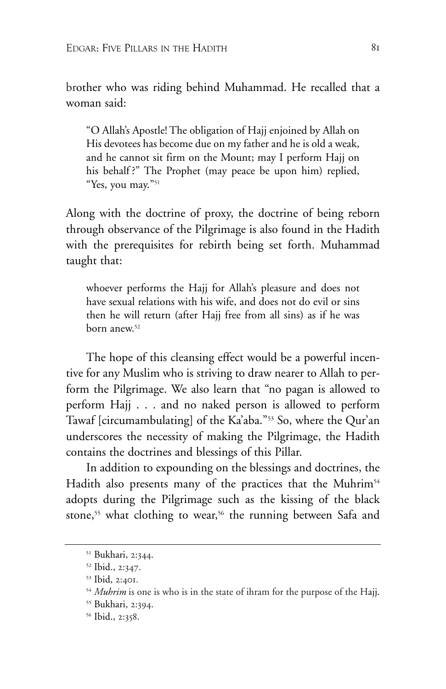brother who was riding behind Muhammad. He recalled that a woman said:

"O Allah's Apostle! The obligation of Hajj enjoined by Allah on His devotees has become due on my father and he is old a weak, and he cannot sit firm on the Mount; may I perform Hajj on his behalf?" The Prophet (may peace be upon him) replied, "Yes, you may."<sup>51</sup>

Along with the doctrine of proxy, the doctrine of being reborn through observance of the Pilgrimage is also found in the Hadith with the prerequisites for rebirth being set forth. Muhammad taught that:

whoever performs the Hajj for Allah's pleasure and does not have sexual relations with his wife, and does not do evil or sins then he will return (after Hajj free from all sins) as if he was born anew.52

The hope of this cleansing effect would be a powerful incentive for any Muslim who is striving to draw nearer to Allah to perform the Pilgrimage. We also learn that "no pagan is allowed to perform Hajj . . . and no naked person is allowed to perform Tawaf [circumambulating] of the Ka'aba."53 So, where the Qur'an underscores the necessity of making the Pilgrimage, the Hadith contains the doctrines and blessings of this Pillar.

In addition to expounding on the blessings and doctrines, the Hadith also presents many of the practices that the Muhrim<sup>54</sup> adopts during the Pilgrimage such as the kissing of the black stone,<sup>55</sup> what clothing to wear,<sup>56</sup> the running between Safa and

<sup>51</sup> Bukhari, 2:344.

<sup>52</sup> Ibid., 2:347.

<sup>53</sup> Ibid, 2:401.

<sup>&</sup>lt;sup>54</sup> Muhrim is one is who is in the state of ihram for the purpose of the Hajj.

<sup>55</sup> Bukhari, 2:394.

<sup>56</sup> Ibid., 2:358.